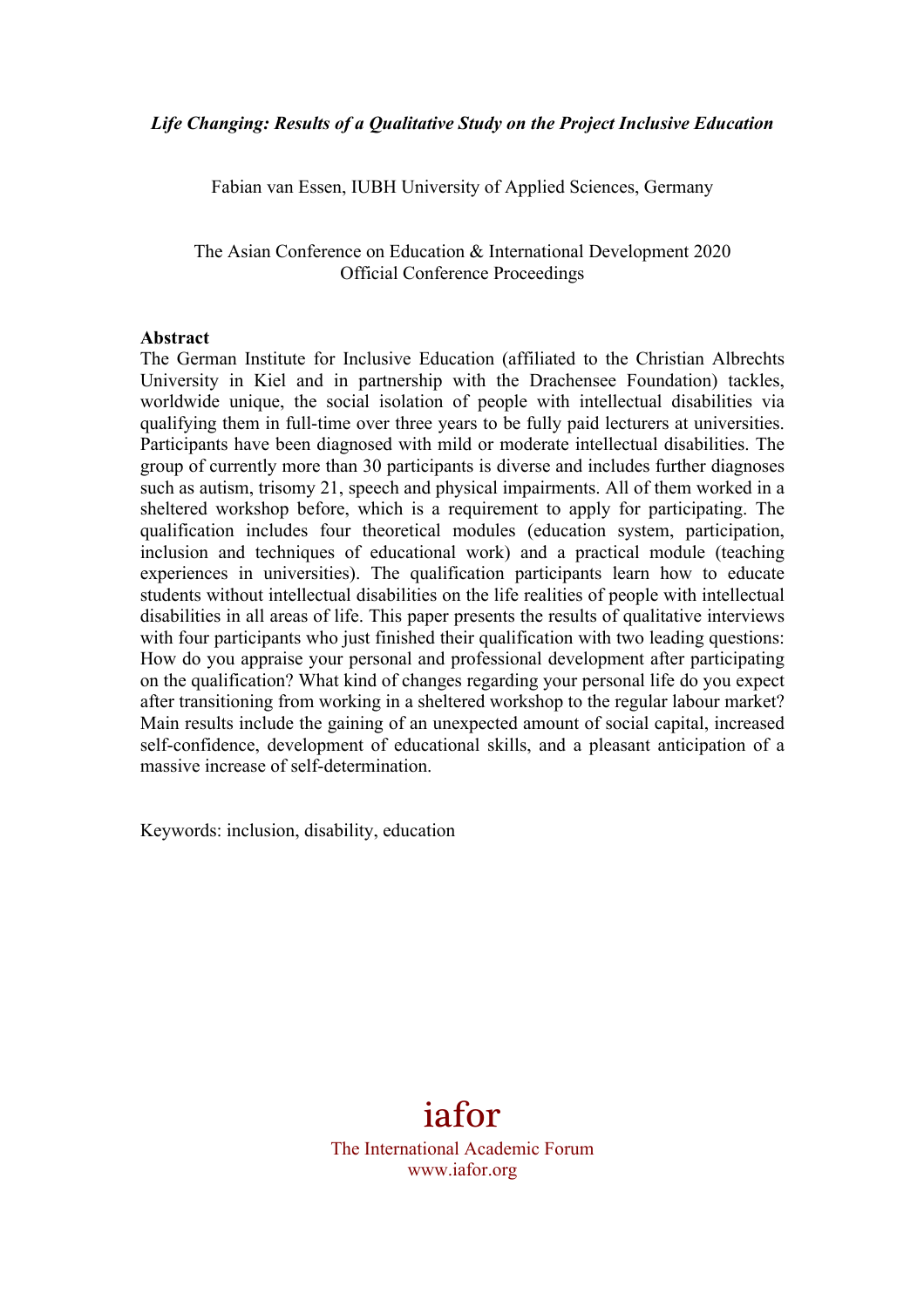Fabian van Essen, IUBH University of Applied Sciences, Germany

The Asian Conference on Education & International Development 2020 Official Conference Proceedings

### **Abstract**

The German Institute for Inclusive Education (affiliated to the Christian Albrechts University in Kiel and in partnership with the Drachensee Foundation) tackles, worldwide unique, the social isolation of people with intellectual disabilities via qualifying them in full-time over three years to be fully paid lecturers at universities. Participants have been diagnosed with mild or moderate intellectual disabilities. The group of currently more than 30 participants is diverse and includes further diagnoses such as autism, trisomy 21, speech and physical impairments. All of them worked in a sheltered workshop before, which is a requirement to apply for participating. The qualification includes four theoretical modules (education system, participation, inclusion and techniques of educational work) and a practical module (teaching experiences in universities). The qualification participants learn how to educate students without intellectual disabilities on the life realities of people with intellectual disabilities in all areas of life. This paper presents the results of qualitative interviews with four participants who just finished their qualification with two leading questions: How do you appraise your personal and professional development after participating on the qualification? What kind of changes regarding your personal life do you expect after transitioning from working in a sheltered workshop to the regular labour market? Main results include the gaining of an unexpected amount of social capital, increased self-confidence, development of educational skills, and a pleasant anticipation of a massive increase of self-determination.

Keywords: inclusion, disability, education

# iafor

The International Academic Forum www.iafor.org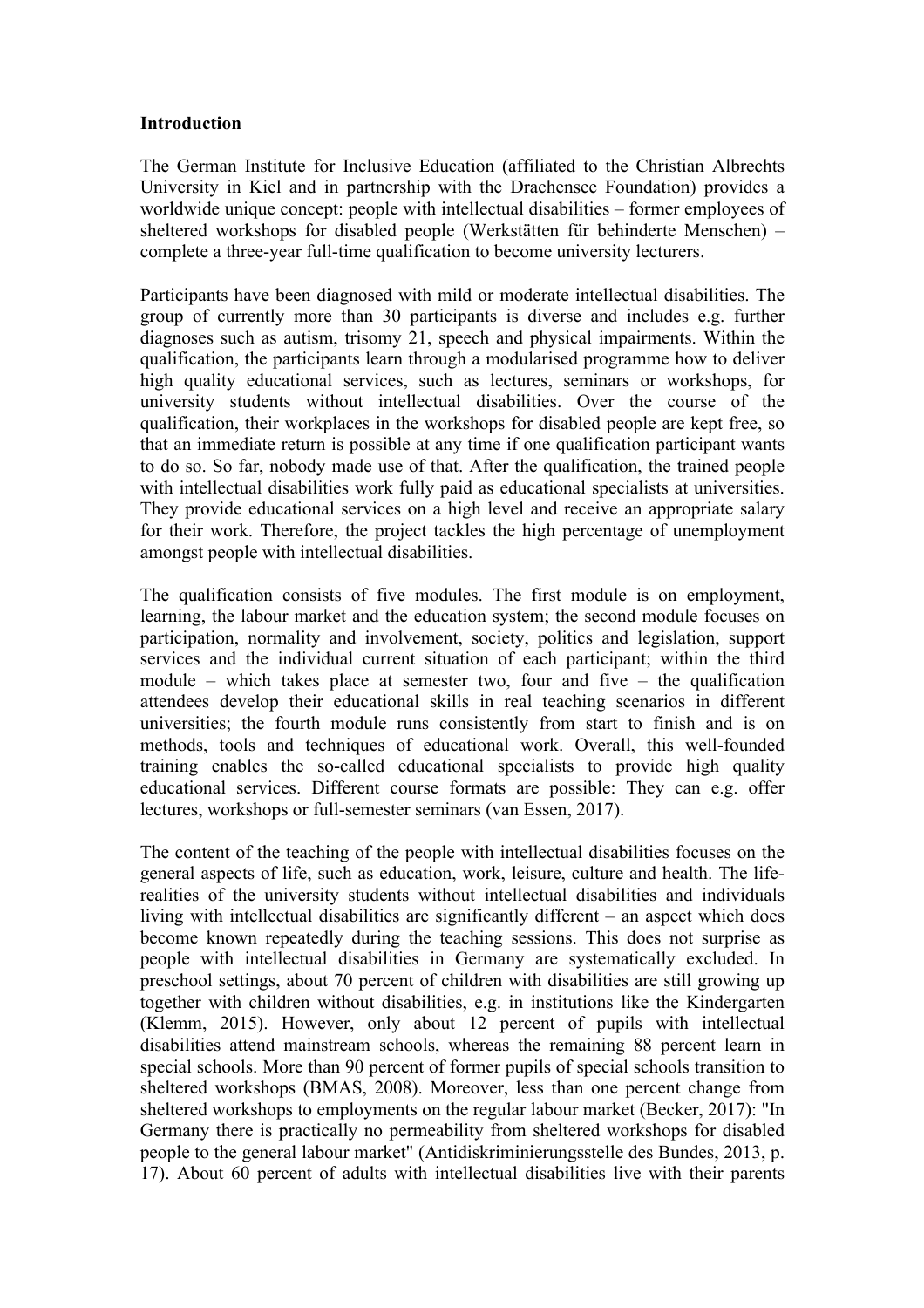### **Introduction**

The German Institute for Inclusive Education (affiliated to the Christian Albrechts University in Kiel and in partnership with the Drachensee Foundation) provides a worldwide unique concept: people with intellectual disabilities – former employees of sheltered workshops for disabled people (Werkstätten für behinderte Menschen) – complete a three-year full-time qualification to become university lecturers.

Participants have been diagnosed with mild or moderate intellectual disabilities. The group of currently more than 30 participants is diverse and includes e.g. further diagnoses such as autism, trisomy 21, speech and physical impairments. Within the qualification, the participants learn through a modularised programme how to deliver high quality educational services, such as lectures, seminars or workshops, for university students without intellectual disabilities. Over the course of the qualification, their workplaces in the workshops for disabled people are kept free, so that an immediate return is possible at any time if one qualification participant wants to do so. So far, nobody made use of that. After the qualification, the trained people with intellectual disabilities work fully paid as educational specialists at universities. They provide educational services on a high level and receive an appropriate salary for their work. Therefore, the project tackles the high percentage of unemployment amongst people with intellectual disabilities.

The qualification consists of five modules. The first module is on employment, learning, the labour market and the education system; the second module focuses on participation, normality and involvement, society, politics and legislation, support services and the individual current situation of each participant; within the third module – which takes place at semester two, four and five – the qualification attendees develop their educational skills in real teaching scenarios in different universities; the fourth module runs consistently from start to finish and is on methods, tools and techniques of educational work. Overall, this well-founded training enables the so-called educational specialists to provide high quality educational services. Different course formats are possible: They can e.g. offer lectures, workshops or full-semester seminars (van Essen, 2017).

The content of the teaching of the people with intellectual disabilities focuses on the general aspects of life, such as education, work, leisure, culture and health. The liferealities of the university students without intellectual disabilities and individuals living with intellectual disabilities are significantly different – an aspect which does become known repeatedly during the teaching sessions. This does not surprise as people with intellectual disabilities in Germany are systematically excluded. In preschool settings, about 70 percent of children with disabilities are still growing up together with children without disabilities, e.g. in institutions like the Kindergarten (Klemm, 2015). However, only about 12 percent of pupils with intellectual disabilities attend mainstream schools, whereas the remaining 88 percent learn in special schools. More than 90 percent of former pupils of special schools transition to sheltered workshops (BMAS, 2008). Moreover, less than one percent change from sheltered workshops to employments on the regular labour market (Becker, 2017): "In Germany there is practically no permeability from sheltered workshops for disabled people to the general labour market" (Antidiskriminierungsstelle des Bundes, 2013, p. 17). About 60 percent of adults with intellectual disabilities live with their parents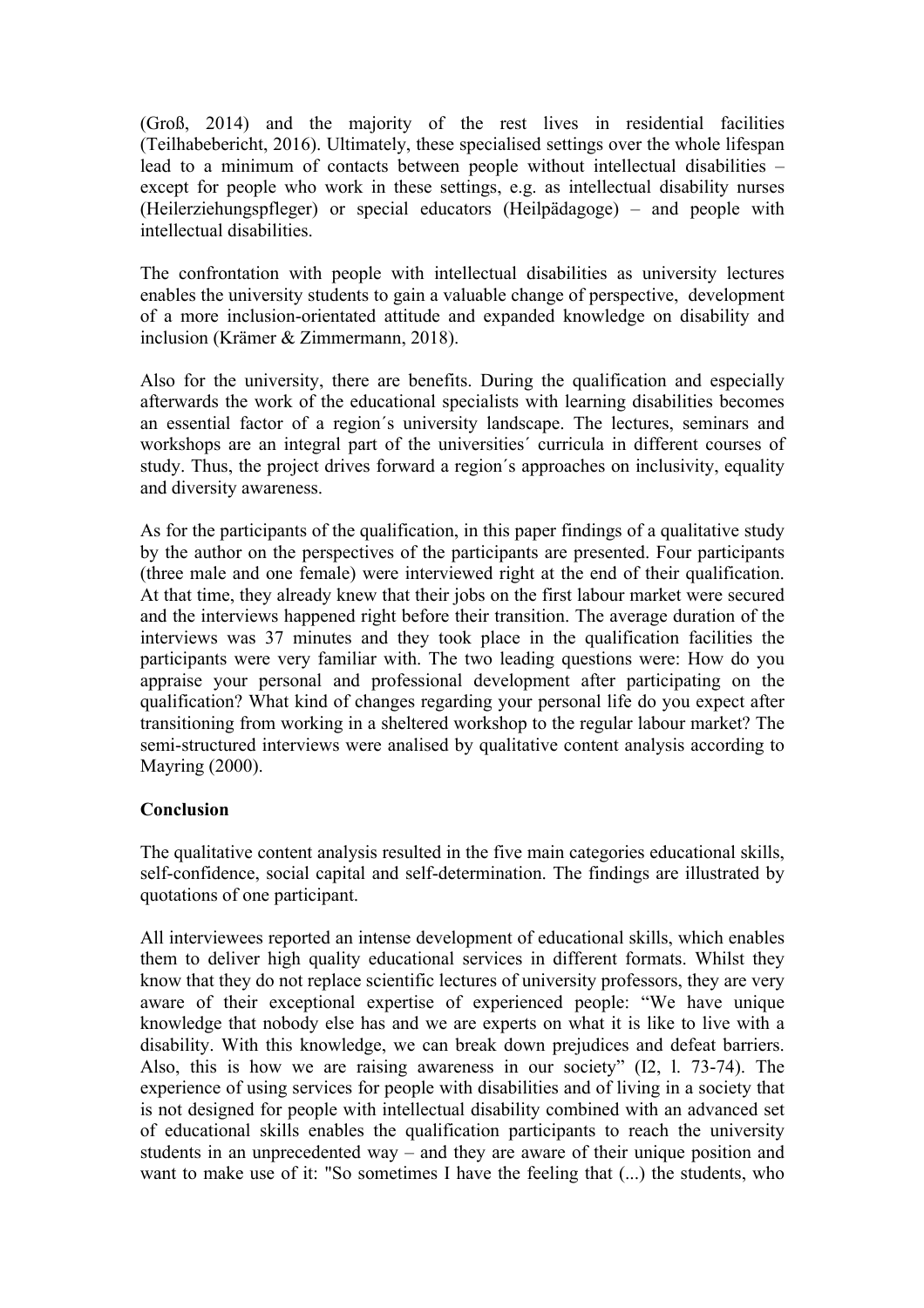(Groß, 2014) and the majority of the rest lives in residential facilities (Teilhabebericht, 2016). Ultimately, these specialised settings over the whole lifespan lead to a minimum of contacts between people without intellectual disabilities – except for people who work in these settings, e.g. as intellectual disability nurses (Heilerziehungspfleger) or special educators (Heilpädagoge) – and people with intellectual disabilities.

The confrontation with people with intellectual disabilities as university lectures enables the university students to gain a valuable change of perspective, development of a more inclusion-orientated attitude and expanded knowledge on disability and inclusion (Krämer & Zimmermann, 2018).

Also for the university, there are benefits. During the qualification and especially afterwards the work of the educational specialists with learning disabilities becomes an essential factor of a region´s university landscape. The lectures, seminars and workshops are an integral part of the universities´ curricula in different courses of study. Thus, the project drives forward a region´s approaches on inclusivity, equality and diversity awareness.

As for the participants of the qualification, in this paper findings of a qualitative study by the author on the perspectives of the participants are presented. Four participants (three male and one female) were interviewed right at the end of their qualification. At that time, they already knew that their jobs on the first labour market were secured and the interviews happened right before their transition. The average duration of the interviews was 37 minutes and they took place in the qualification facilities the participants were very familiar with. The two leading questions were: How do you appraise your personal and professional development after participating on the qualification? What kind of changes regarding your personal life do you expect after transitioning from working in a sheltered workshop to the regular labour market? The semi-structured interviews were analised by qualitative content analysis according to Mayring (2000).

## **Conclusion**

The qualitative content analysis resulted in the five main categories educational skills, self-confidence, social capital and self-determination. The findings are illustrated by quotations of one participant.

All interviewees reported an intense development of educational skills, which enables them to deliver high quality educational services in different formats. Whilst they know that they do not replace scientific lectures of university professors, they are very aware of their exceptional expertise of experienced people: "We have unique knowledge that nobody else has and we are experts on what it is like to live with a disability. With this knowledge, we can break down prejudices and defeat barriers. Also, this is how we are raising awareness in our society" (I2, l. 73-74). The experience of using services for people with disabilities and of living in a society that is not designed for people with intellectual disability combined with an advanced set of educational skills enables the qualification participants to reach the university students in an unprecedented way – and they are aware of their unique position and want to make use of it: "So sometimes I have the feeling that (...) the students, who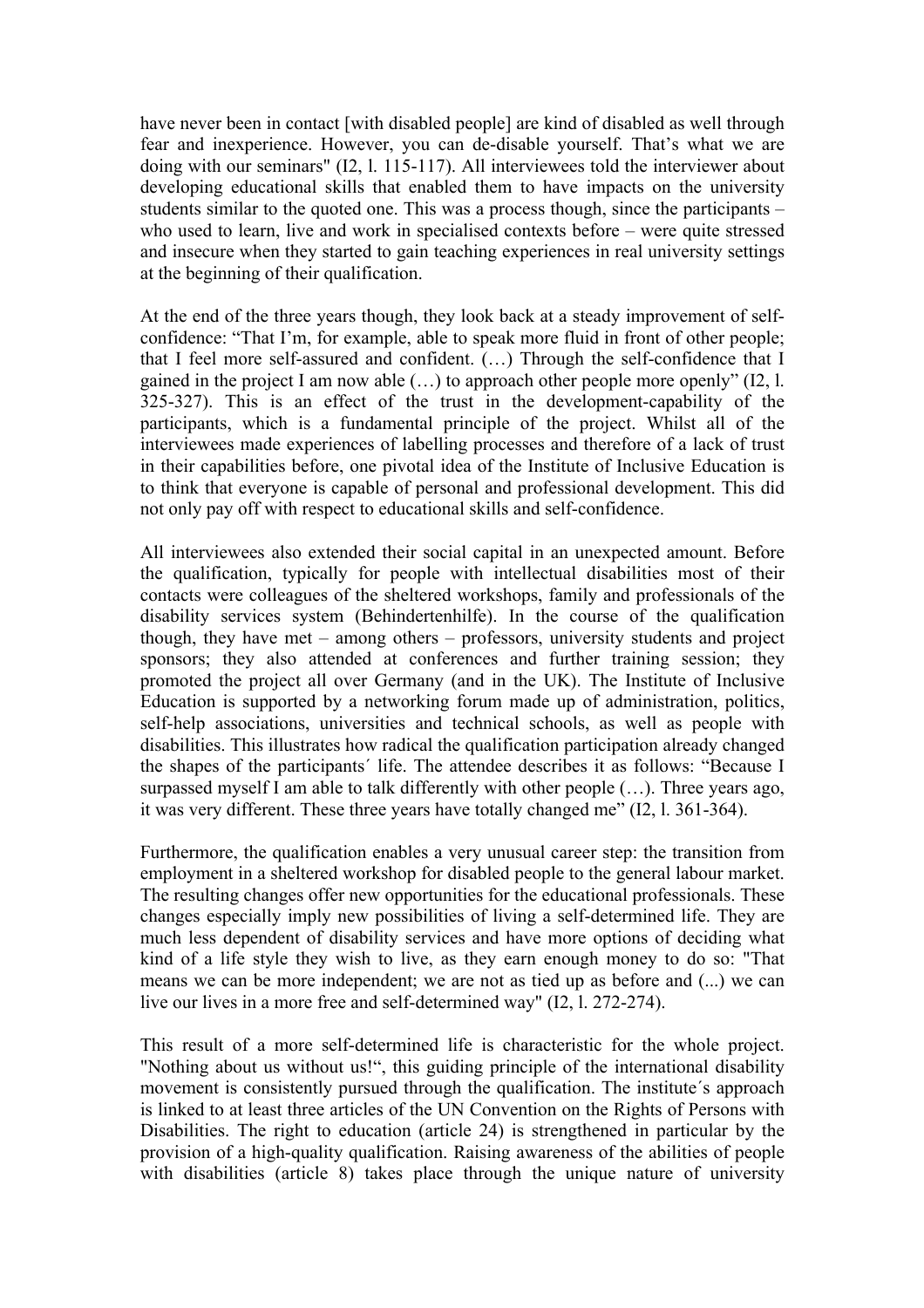have never been in contact [with disabled people] are kind of disabled as well through fear and inexperience. However, you can de-disable yourself. That's what we are doing with our seminars" (I2, l. 115-117). All interviewees told the interviewer about developing educational skills that enabled them to have impacts on the university students similar to the quoted one. This was a process though, since the participants – who used to learn, live and work in specialised contexts before – were quite stressed and insecure when they started to gain teaching experiences in real university settings at the beginning of their qualification.

At the end of the three years though, they look back at a steady improvement of selfconfidence: "That I'm, for example, able to speak more fluid in front of other people; that I feel more self-assured and confident. (…) Through the self-confidence that I gained in the project I am now able (…) to approach other people more openly" (I2, l. 325-327). This is an effect of the trust in the development-capability of the participants, which is a fundamental principle of the project. Whilst all of the interviewees made experiences of labelling processes and therefore of a lack of trust in their capabilities before, one pivotal idea of the Institute of Inclusive Education is to think that everyone is capable of personal and professional development. This did not only pay off with respect to educational skills and self-confidence.

All interviewees also extended their social capital in an unexpected amount. Before the qualification, typically for people with intellectual disabilities most of their contacts were colleagues of the sheltered workshops, family and professionals of the disability services system (Behindertenhilfe). In the course of the qualification though, they have met – among others – professors, university students and project sponsors; they also attended at conferences and further training session; they promoted the project all over Germany (and in the UK). The Institute of Inclusive Education is supported by a networking forum made up of administration, politics, self-help associations, universities and technical schools, as well as people with disabilities. This illustrates how radical the qualification participation already changed the shapes of the participants´ life. The attendee describes it as follows: "Because I surpassed myself I am able to talk differently with other people (…). Three years ago, it was very different. These three years have totally changed me" (I2, l. 361-364).

Furthermore, the qualification enables a very unusual career step: the transition from employment in a sheltered workshop for disabled people to the general labour market. The resulting changes offer new opportunities for the educational professionals. These changes especially imply new possibilities of living a self-determined life. They are much less dependent of disability services and have more options of deciding what kind of a life style they wish to live, as they earn enough money to do so: "That means we can be more independent; we are not as tied up as before and (...) we can live our lives in a more free and self-determined way" (I2, l. 272-274).

This result of a more self-determined life is characteristic for the whole project. "Nothing about us without us!", this guiding principle of the international disability movement is consistently pursued through the qualification. The institute´s approach is linked to at least three articles of the UN Convention on the Rights of Persons with Disabilities. The right to education (article 24) is strengthened in particular by the provision of a high-quality qualification. Raising awareness of the abilities of people with disabilities (article 8) takes place through the unique nature of university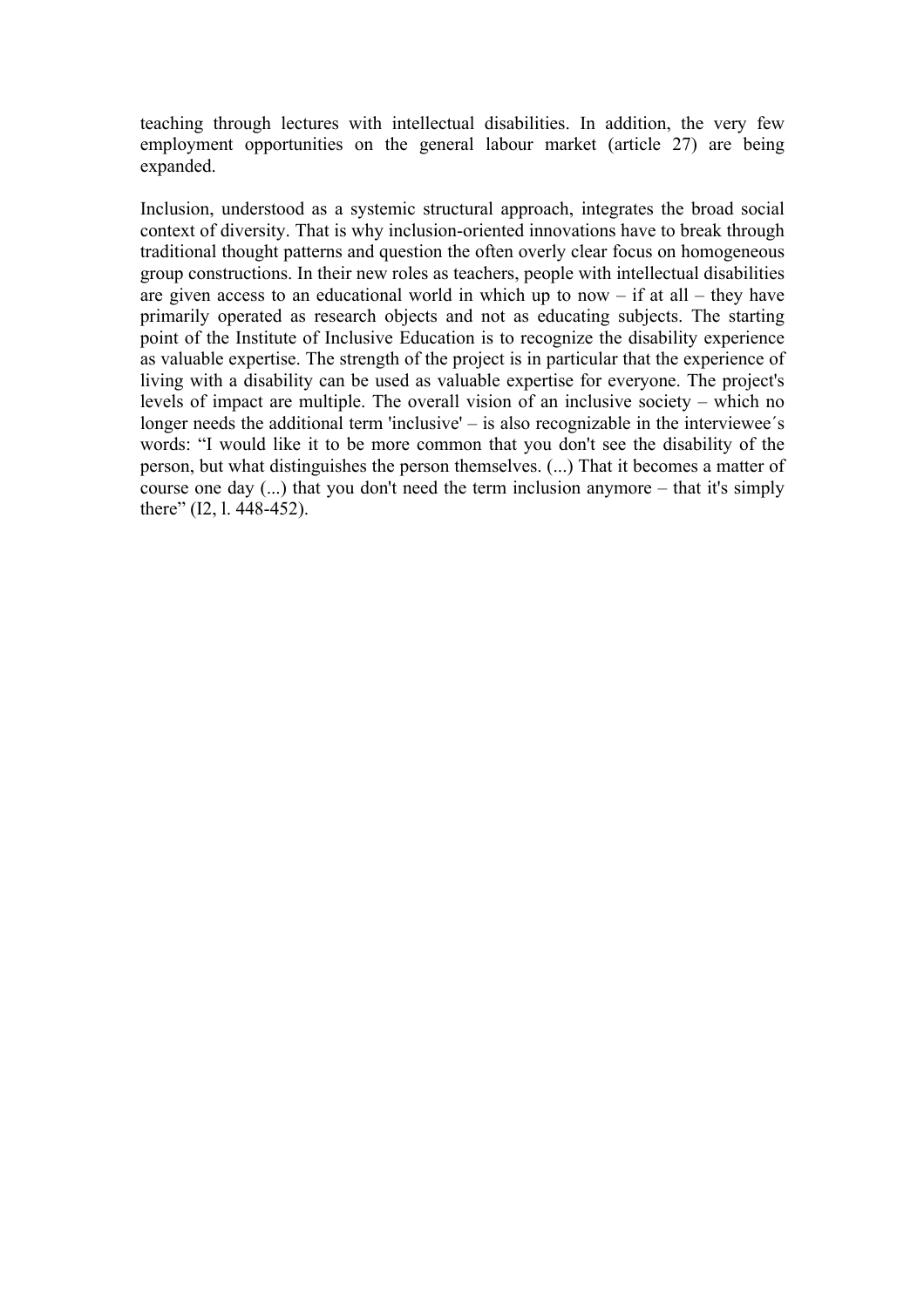teaching through lectures with intellectual disabilities. In addition, the very few employment opportunities on the general labour market (article 27) are being expanded.

Inclusion, understood as a systemic structural approach, integrates the broad social context of diversity. That is why inclusion-oriented innovations have to break through traditional thought patterns and question the often overly clear focus on homogeneous group constructions. In their new roles as teachers, people with intellectual disabilities are given access to an educational world in which up to now  $-$  if at all  $-$  they have primarily operated as research objects and not as educating subjects. The starting point of the Institute of Inclusive Education is to recognize the disability experience as valuable expertise. The strength of the project is in particular that the experience of living with a disability can be used as valuable expertise for everyone. The project's levels of impact are multiple. The overall vision of an inclusive society – which no longer needs the additional term 'inclusive'  $-$  is also recognizable in the interviewee's words: "I would like it to be more common that you don't see the disability of the person, but what distinguishes the person themselves. (...) That it becomes a matter of course one day (...) that you don't need the term inclusion anymore – that it's simply there" (I2, l. 448-452).